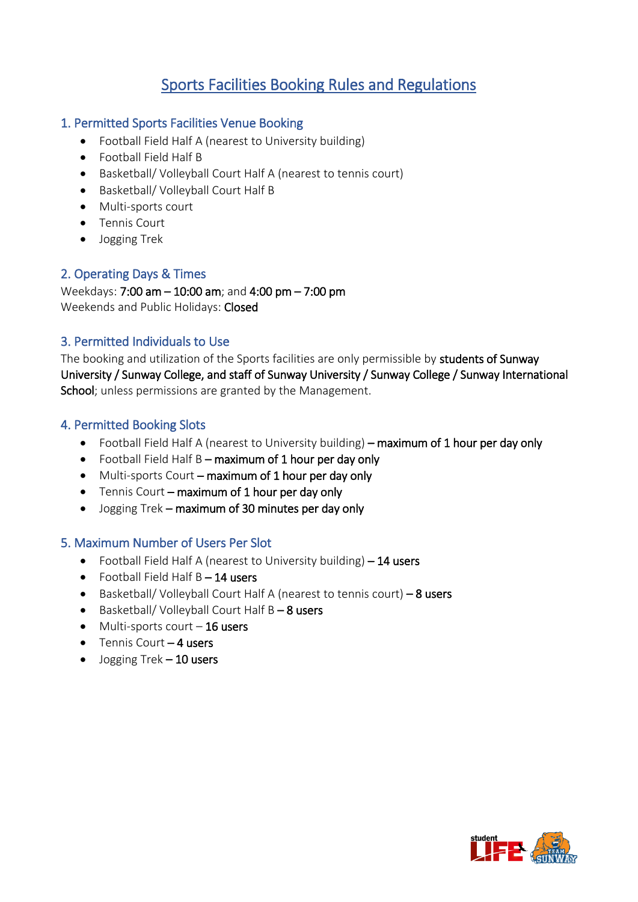# Sports Facilities Booking Rules and Regulations

### 1. Permitted Sports Facilities Venue Booking

- Football Field Half A (nearest to University building)
- Football Field Half B
- Basketball/ Volleyball Court Half A (nearest to tennis court)
- Basketball/ Volleyball Court Half B
- Multi-sports court
- Tennis Court
- Jogging Trek

## 2. Operating Days & Times

Weekdays: 7:00 am – 10:00 am; and 4:00 pm – 7:00 pm Weekends and Public Holidays: Closed

### 3. Permitted Individuals to Use

The booking and utilization of the Sports facilities are only permissible by students of Sunway University / Sunway College, and staff of Sunway University / Sunway College / Sunway International School; unless permissions are granted by the Management.

### 4. Permitted Booking Slots

- Football Field Half A (nearest to University building) maximum of 1 hour per day only
- Football Field Half  $B$  maximum of 1 hour per day only
- Multi-sports Court maximum of 1 hour per day only
- Tennis Court maximum of 1 hour per day only
- Jogging Trek maximum of 30 minutes per day only

#### 5. Maximum Number of Users Per Slot

- Football Field Half A (nearest to University building) 14 users
- Football Field Half  $B 14$  users
- Basketball/ Volleyball Court Half A (nearest to tennis court) 8 users
- Basketball/ Volleyball Court Half B 8 users
- $\bullet$  Multi-sports court  $-16$  users
- $\bullet$  Tennis Court 4 users
- $\bullet$  Jogging Trek  $-10$  users

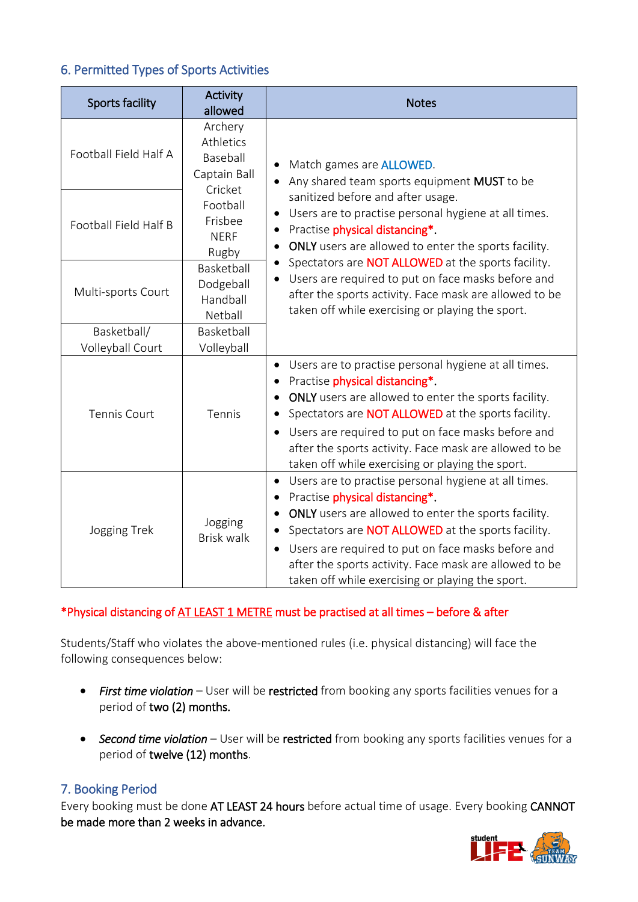# 6. Permitted Types of Sports Activities

| <b>Sports facility</b> | Activity<br>allowed                                                                                                                                                                                                                                                                                                                                                                                                                                                                                                                                                                                                                                              | <b>Notes</b>                                                                                                                                                                                                                                                                                                                                                                                 |
|------------------------|------------------------------------------------------------------------------------------------------------------------------------------------------------------------------------------------------------------------------------------------------------------------------------------------------------------------------------------------------------------------------------------------------------------------------------------------------------------------------------------------------------------------------------------------------------------------------------------------------------------------------------------------------------------|----------------------------------------------------------------------------------------------------------------------------------------------------------------------------------------------------------------------------------------------------------------------------------------------------------------------------------------------------------------------------------------------|
| Football Field Half A  | Archery<br>Athletics<br>Baseball<br>Match games are <b>ALLOWED</b> .<br>Captain Ball<br>Any shared team sports equipment MUST to be<br>Cricket<br>sanitized before and after usage.<br>Football<br>Users are to practise personal hygiene at all times.<br>Frisbee<br>Practise physical distancing*.<br><b>NERF</b><br>ONLY users are allowed to enter the sports facility.<br>Rugby<br>Spectators are NOT ALLOWED at the sports facility.<br>Basketball<br>Users are required to put on face masks before and<br>Dodgeball<br>after the sports activity. Face mask are allowed to be<br>Handball<br>taken off while exercising or playing the sport.<br>Netball |                                                                                                                                                                                                                                                                                                                                                                                              |
| Football Field Half B  |                                                                                                                                                                                                                                                                                                                                                                                                                                                                                                                                                                                                                                                                  |                                                                                                                                                                                                                                                                                                                                                                                              |
| Multi-sports Court     |                                                                                                                                                                                                                                                                                                                                                                                                                                                                                                                                                                                                                                                                  |                                                                                                                                                                                                                                                                                                                                                                                              |
| Basketball/            | Basketball                                                                                                                                                                                                                                                                                                                                                                                                                                                                                                                                                                                                                                                       |                                                                                                                                                                                                                                                                                                                                                                                              |
| Volleyball Court       | Volleyball                                                                                                                                                                                                                                                                                                                                                                                                                                                                                                                                                                                                                                                       |                                                                                                                                                                                                                                                                                                                                                                                              |
| <b>Tennis Court</b>    | Tennis                                                                                                                                                                                                                                                                                                                                                                                                                                                                                                                                                                                                                                                           | Users are to practise personal hygiene at all times.<br>٠<br>Practise physical distancing*.<br><b>ONLY</b> users are allowed to enter the sports facility.<br>Spectators are <b>NOT ALLOWED</b> at the sports facility.<br>Users are required to put on face masks before and<br>after the sports activity. Face mask are allowed to be<br>taken off while exercising or playing the sport.  |
| Jogging Trek           | Jogging<br><b>Brisk walk</b>                                                                                                                                                                                                                                                                                                                                                                                                                                                                                                                                                                                                                                     | Users are to practise personal hygiene at all times.<br>$\bullet$<br>Practise physical distancing*.<br>ONLY users are allowed to enter the sports facility.<br>Spectators are <b>NOT ALLOWED</b> at the sports facility.<br>Users are required to put on face masks before and<br>after the sports activity. Face mask are allowed to be<br>taken off while exercising or playing the sport. |

# \*Physical distancing of AT LEAST 1 METRE must be practised at all times – before & after

Students/Staff who violates the above-mentioned rules (i.e. physical distancing) will face the following consequences below:

- *First time violation* User will be restricted from booking any sports facilities venues for a period of two (2) months.
- *Second time violation* User will be restricted from booking any sports facilities venues for a period of twelve (12) months.

# 7. Booking Period

Every booking must be done AT LEAST 24 hours before actual time of usage. Every booking CANNOT be made more than 2 weeks in advance.

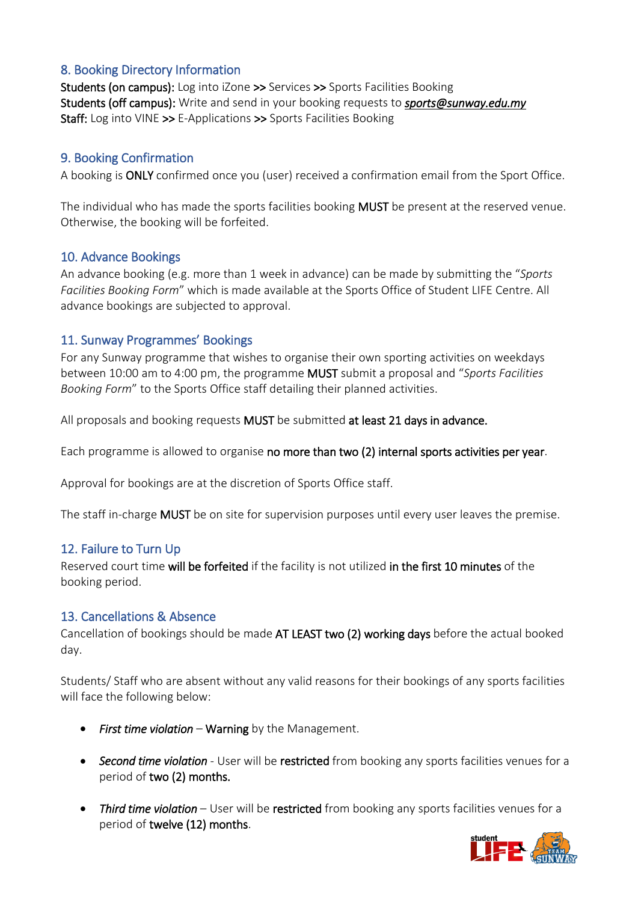## 8. Booking Directory Information

Students (on campus): Log into iZone >> Services >> Sports Facilities Booking Students (off campus): Write and send in your booking requests to *sports@sunway.edu.my* Staff: Log into VINE >> E-Applications >> Sports Facilities Booking

#### 9. Booking Confirmation

A booking is ONLY confirmed once you (user) received a confirmation email from the Sport Office.

The individual who has made the sports facilities booking **MUST** be present at the reserved venue. Otherwise, the booking will be forfeited.

#### 10. Advance Bookings

An advance booking (e.g. more than 1 week in advance) can be made by submitting the "*Sports Facilities Booking Form*" which is made available at the Sports Office of Student LIFE Centre. All advance bookings are subjected to approval.

#### 11. Sunway Programmes' Bookings

For any Sunway programme that wishes to organise their own sporting activities on weekdays between 10:00 am to 4:00 pm, the programme MUST submit a proposal and "*Sports Facilities Booking Form*" to the Sports Office staff detailing their planned activities.

All proposals and booking requests MUST be submitted at least 21 days in advance.

Each programme is allowed to organise no more than two (2) internal sports activities per year.

Approval for bookings are at the discretion of Sports Office staff.

The staff in-charge MUST be on site for supervision purposes until every user leaves the premise.

#### 12. Failure to Turn Up

Reserved court time will be forfeited if the facility is not utilized in the first 10 minutes of the booking period.

#### 13. Cancellations & Absence

Cancellation of bookings should be made AT LEAST two (2) working days before the actual booked day.

Students/ Staff who are absent without any valid reasons for their bookings of any sports facilities will face the following below:

- *First time violation* Warning by the Management.
- *Second time violation* User will be restricted from booking any sports facilities venues for a period of two (2) months.
- *Third time violation* User will be restricted from booking any sports facilities venues for a period of twelve (12) months.

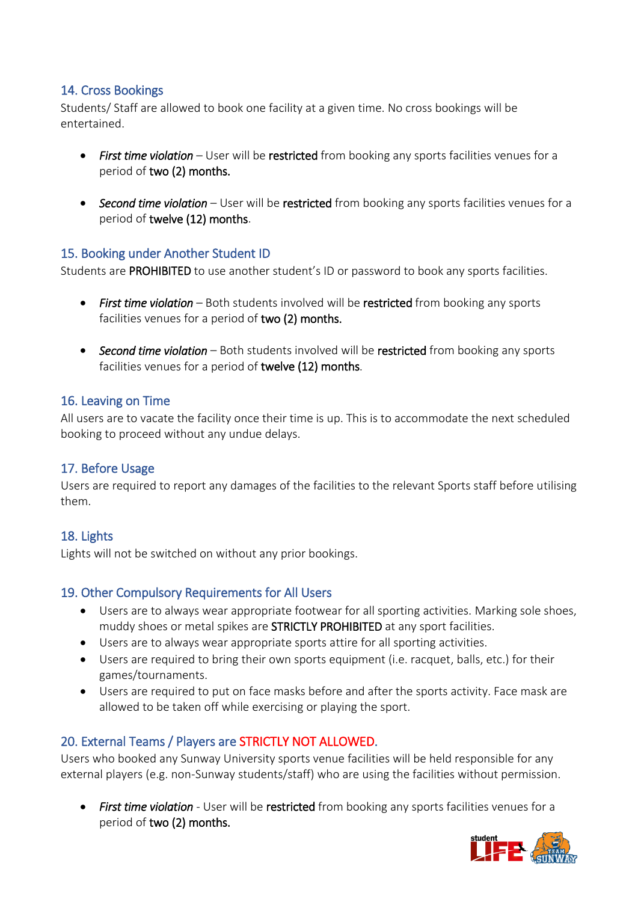## 14. Cross Bookings

Students/ Staff are allowed to book one facility at a given time. No cross bookings will be entertained.

- *First time violation* User will be restricted from booking any sports facilities venues for a period of two (2) months.
- *Second time violation* User will be restricted from booking any sports facilities venues for a period of twelve (12) months.

### 15. Booking under Another Student ID

Students are PROHIBITED to use another student's ID or password to book any sports facilities.

- *First time violation* Both students involved will be restricted from booking any sports facilities venues for a period of two (2) months.
- *Second time violation* Both students involved will be restricted from booking any sports facilities venues for a period of twelve (12) months.

## 16. Leaving on Time

All users are to vacate the facility once their time is up. This is to accommodate the next scheduled booking to proceed without any undue delays.

### 17. Before Usage

Users are required to report any damages of the facilities to the relevant Sports staff before utilising them.

# 18. Lights

Lights will not be switched on without any prior bookings.

### 19. Other Compulsory Requirements for All Users

- Users are to always wear appropriate footwear for all sporting activities. Marking sole shoes, muddy shoes or metal spikes are STRICTLY PROHIBITED at any sport facilities.
- Users are to always wear appropriate sports attire for all sporting activities.
- Users are required to bring their own sports equipment (i.e. racquet, balls, etc.) for their games/tournaments.
- Users are required to put on face masks before and after the sports activity. Face mask are allowed to be taken off while exercising or playing the sport.

# 20. External Teams / Players are STRICTLY NOT ALLOWED.

Users who booked any Sunway University sports venue facilities will be held responsible for any external players (e.g. non-Sunway students/staff) who are using the facilities without permission.

• *First time violation* - User will be restricted from booking any sports facilities venues for a period of two (2) months.

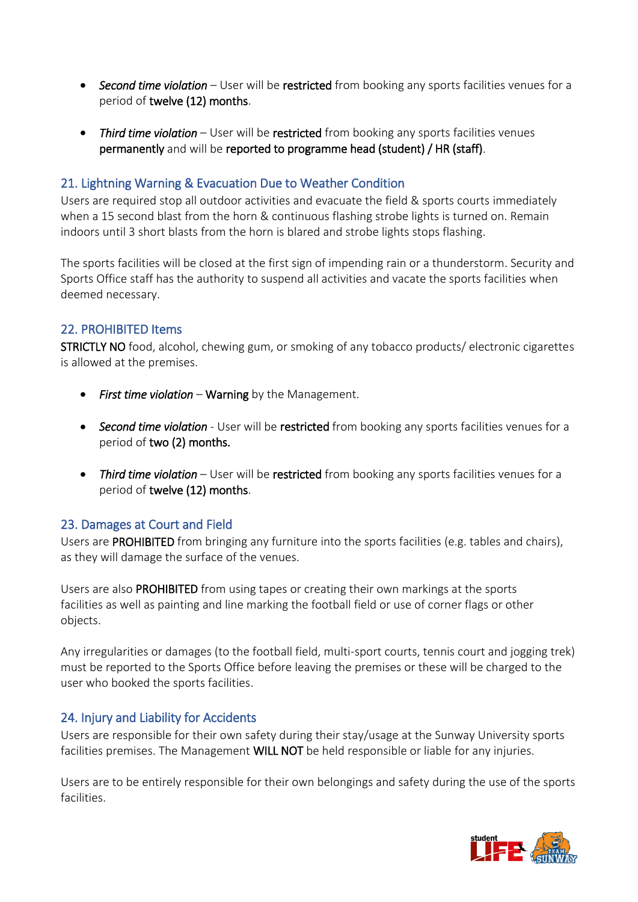- *Second time violation* User will be restricted from booking any sports facilities venues for a period of twelve (12) months.
- *Third time violation* User will be restricted from booking any sports facilities venues permanently and will be reported to programme head (student) / HR (staff).

#### 21. Lightning Warning & Evacuation Due to Weather Condition

Users are required stop all outdoor activities and evacuate the field & sports courts immediately when a 15 second blast from the horn & continuous flashing strobe lights is turned on. Remain indoors until 3 short blasts from the horn is blared and strobe lights stops flashing.

The sports facilities will be closed at the first sign of impending rain or a thunderstorm. Security and Sports Office staff has the authority to suspend all activities and vacate the sports facilities when deemed necessary.

#### 22. PROHIBITED Items

STRICTLY NO food, alcohol, chewing gum, or smoking of any tobacco products/ electronic cigarettes is allowed at the premises.

- *First time violation* Warning by the Management.
- *Second time violation* User will be restricted from booking any sports facilities venues for a period of two (2) months.
- *Third time violation* User will be restricted from booking any sports facilities venues for a period of twelve (12) months.

### 23. Damages at Court and Field

Users are PROHIBITED from bringing any furniture into the sports facilities (e.g. tables and chairs), as they will damage the surface of the venues.

Users are also PROHIBITED from using tapes or creating their own markings at the sports facilities as well as painting and line marking the football field or use of corner flags or other objects.

Any irregularities or damages (to the football field, multi-sport courts, tennis court and jogging trek) must be reported to the Sports Office before leaving the premises or these will be charged to the user who booked the sports facilities.

#### 24. Injury and Liability for Accidents

Users are responsible for their own safety during their stay/usage at the Sunway University sports facilities premises. The Management WILL NOT be held responsible or liable for any injuries.

Users are to be entirely responsible for their own belongings and safety during the use of the sports facilities.